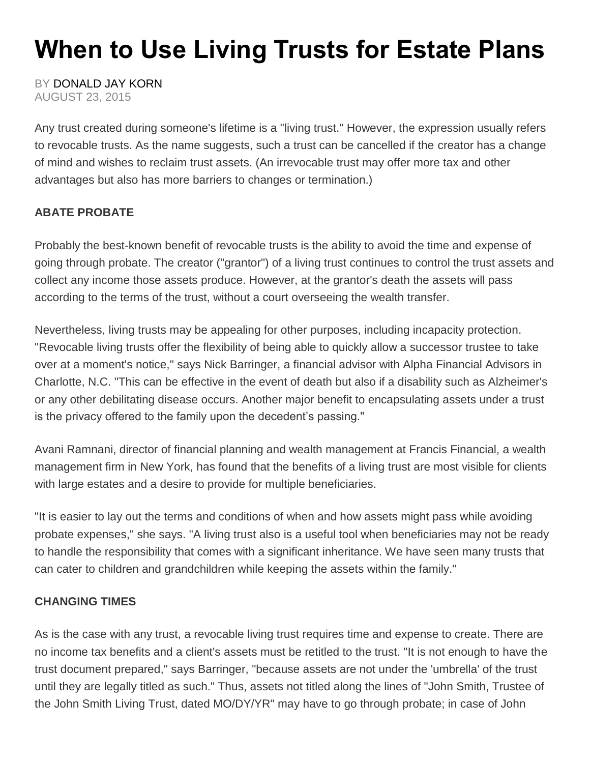## **When to Use Living Trusts for Estate Plans**

BY [DONALD JAY KORN](http://www.financial-planning.com/article_listings/donald-jay-korn-678.html) AUGUST 23, 2015

Any trust created during someone's lifetime is a "living trust." However, the expression usually refers to revocable trusts. As the name suggests, such a trust can be cancelled if the creator has a change of mind and wishes to reclaim trust assets. (An irrevocable trust may offer more tax and other advantages but also has more barriers to changes or termination.)

## **ABATE PROBATE**

Probably the best-known benefit of revocable trusts is the ability to avoid the time and expense of going through probate. The creator ("grantor") of a living trust continues to control the trust assets and collect any income those assets produce. However, at the grantor's death the assets will pass according to the terms of the trust, without a court overseeing the wealth transfer.

Nevertheless, living trusts may be appealing for other purposes, including incapacity protection. "Revocable living trusts offer the flexibility of being able to quickly allow a successor trustee to take over at a moment's notice," says Nick Barringer, a financial advisor with Alpha Financial Advisors in Charlotte, N.C. "This can be effective in the event of death but also if a disability such as Alzheimer's or any other debilitating disease occurs. Another major benefit to encapsulating assets under a trust is the privacy offered to the family upon the decedent's passing."

Avani Ramnani, director of financial planning and wealth management at Francis Financial, a wealth management firm in New York, has found that the benefits of a living trust are most visible for clients with large estates and a desire to provide for multiple beneficiaries.

"It is easier to lay out the terms and conditions of when and how assets might pass while avoiding probate expenses," she says. "A living trust also is a useful tool when beneficiaries may not be ready to handle the responsibility that comes with a significant inheritance. We have seen many trusts that can cater to children and grandchildren while keeping the assets within the family."

## **CHANGING TIMES**

As is the case with any trust, a revocable living trust requires time and expense to create. There are no income tax benefits and a client's assets must be retitled to the trust. "It is not enough to have the trust document prepared," says Barringer, "because assets are not under the 'umbrella' of the trust until they are legally titled as such." Thus, assets not titled along the lines of "John Smith, Trustee of the John Smith Living Trust, dated MO/DY/YR" may have to go through probate; in case of John